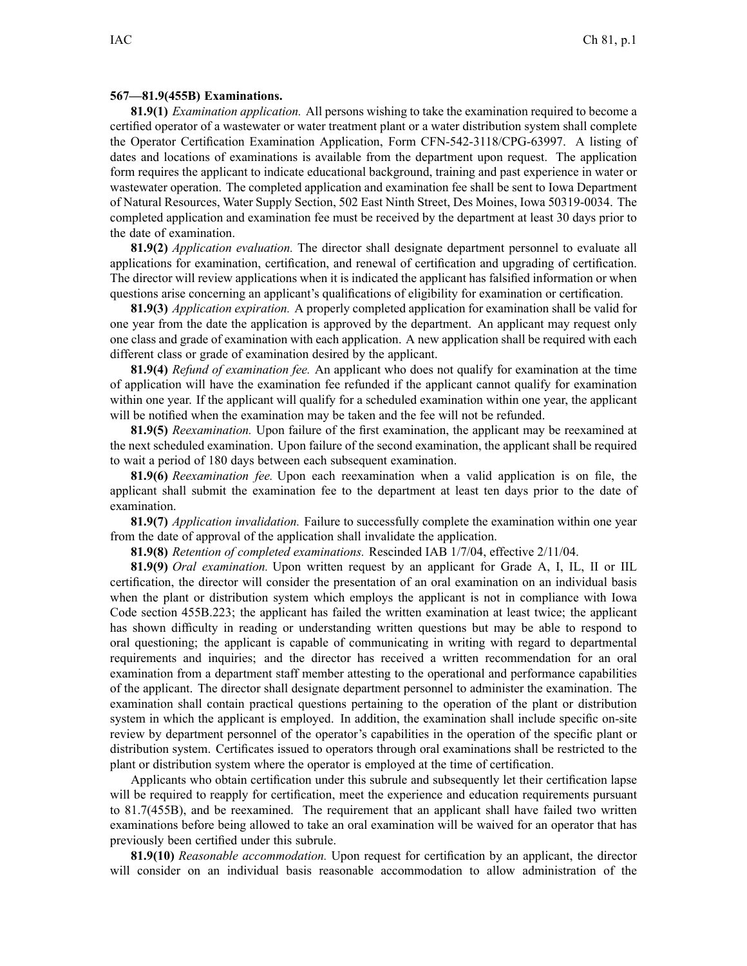## **567—81.9(455B) Examinations.**

**81.9(1)** *Examination application.* All persons wishing to take the examination required to become <sup>a</sup> certified operator of <sup>a</sup> wastewater or water treatment plant or <sup>a</sup> water distribution system shall complete the Operator Certification Examination Application, Form CFN-542-3118/CPG-63997. A listing of dates and locations of examinations is available from the department upon request. The application form requires the applicant to indicate educational background, training and pas<sup>t</sup> experience in water or wastewater operation. The completed application and examination fee shall be sent to Iowa Department of Natural Resources, Water Supply Section, 502 East Ninth Street, Des Moines, Iowa 50319-0034. The completed application and examination fee must be received by the department at least 30 days prior to the date of examination.

**81.9(2)** *Application evaluation.* The director shall designate department personnel to evaluate all applications for examination, certification, and renewal of certification and upgrading of certification. The director will review applications when it is indicated the applicant has falsified information or when questions arise concerning an applicant's qualifications of eligibility for examination or certification.

**81.9(3)** *Application expiration.* A properly completed application for examination shall be valid for one year from the date the application is approved by the department. An applicant may reques<sup>t</sup> only one class and grade of examination with each application. A new application shall be required with each different class or grade of examination desired by the applicant.

**81.9(4)** *Refund of examination fee.* An applicant who does not qualify for examination at the time of application will have the examination fee refunded if the applicant cannot qualify for examination within one year. If the applicant will qualify for <sup>a</sup> scheduled examination within one year, the applicant will be notified when the examination may be taken and the fee will not be refunded.

**81.9(5)** *Reexamination.* Upon failure of the first examination, the applicant may be reexamined at the next scheduled examination. Upon failure of the second examination, the applicant shall be required to wait <sup>a</sup> period of 180 days between each subsequent examination.

**81.9(6)** *Reexamination fee.* Upon each reexamination when <sup>a</sup> valid application is on file, the applicant shall submit the examination fee to the department at least ten days prior to the date of examination.

**81.9(7)** *Application invalidation.* Failure to successfully complete the examination within one year from the date of approval of the application shall invalidate the application.

**81.9(8)** *Retention of completed examinations.* Rescinded IAB 1/7/04, effective 2/11/04.

**81.9(9)** *Oral examination.* Upon written reques<sup>t</sup> by an applicant for Grade A, I, IL, II or IIL certification, the director will consider the presentation of an oral examination on an individual basis when the plant or distribution system which employs the applicant is not in compliance with Iowa Code section 455B.223; the applicant has failed the written examination at least twice; the applicant has shown difficulty in reading or understanding written questions but may be able to respond to oral questioning; the applicant is capable of communicating in writing with regard to departmental requirements and inquiries; and the director has received <sup>a</sup> written recommendation for an oral examination from <sup>a</sup> department staff member attesting to the operational and performance capabilities of the applicant. The director shall designate department personnel to administer the examination. The examination shall contain practical questions pertaining to the operation of the plant or distribution system in which the applicant is employed. In addition, the examination shall include specific on-site review by department personnel of the operator's capabilities in the operation of the specific plant or distribution system. Certificates issued to operators through oral examinations shall be restricted to the plant or distribution system where the operator is employed at the time of certification.

Applicants who obtain certification under this subrule and subsequently let their certification lapse will be required to reapply for certification, meet the experience and education requirements pursuant to 81.7(455B), and be reexamined. The requirement that an applicant shall have failed two written examinations before being allowed to take an oral examination will be waived for an operator that has previously been certified under this subrule.

**81.9(10)** *Reasonable accommodation.* Upon reques<sup>t</sup> for certification by an applicant, the director will consider on an individual basis reasonable accommodation to allow administration of the